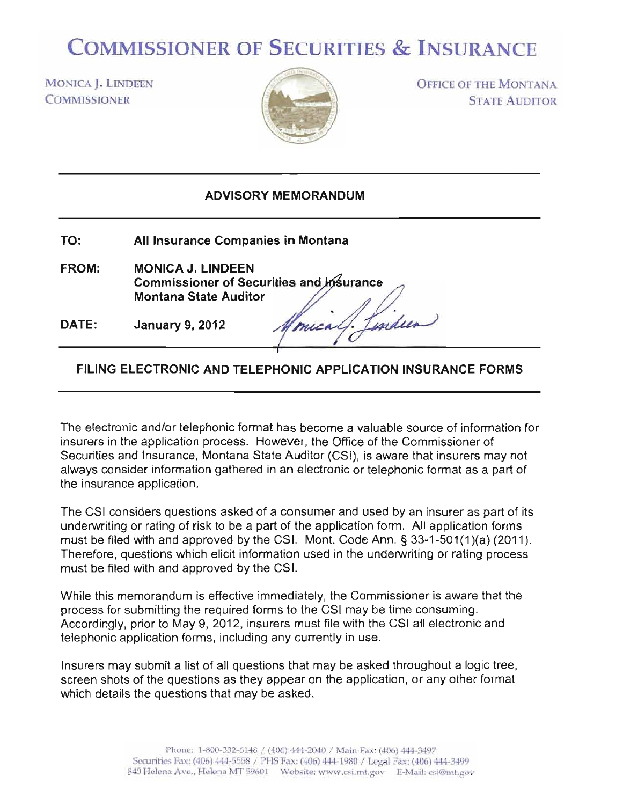## COMMISSIONER OF SECURITIES & INSURANCE

MONICA J. LINDEEN **COMMISSIONER** 



OFFICE OF THE MONTANA STATE AUDITOR

## ADVISORY MEMORANDUM

- TO: All Insurance Companies in Montana
- FROM: MONICA J. LINDEEN **Commissioner of Securities and urance**  Montana State Auditor Lisidien
- DATE: January 9, 2012

## FILING ELECTRONIC AND TELEPHONIC APPLICATION INSURANCE FORMS

mical

The electronic and/or telephonic format has become a valuable source of information for insurers in the application process. However, the Office of the Commissioner of Securities and Insurance, Montana State Auditor (CSI), is aware that insurers may not always consider information gathered in an electronic or telephonic format as a part of the insurance application.

The CSI considers questions asked of a consumer and used by an insurer as part of its underwriting or rating of risk to be a part of the application form. All application forms must be filed with and approved by the CSI. Mont. Code Ann. § 33-1-501(1 )(a) (2011 ). Therefore, questions which elicit information used in the underwriting or rating process must be filed with and approved by the CSI.

While this memorandum is effective immediately, the Commissioner is aware that the process for submitting the required forms to the CSI may be time consuming. Accordingly, prior to May 9, 2012, insurers must file with the CSI all electronic and telephonic application forms, including any currently in use.

Insurers may submit a list of all questions that may be asked throughout a logic tree, screen shots of the questions as they appear on the application, or any other format which details the questions that may be asked.